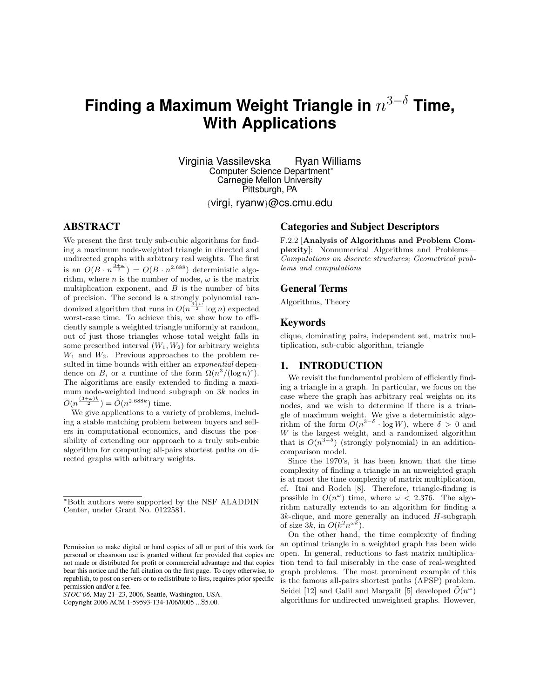# **Finding a Maximum Weight Triangle in** n <sup>3</sup>−<sup>δ</sup> **Time, With Applications**

Virginia Vassilevska Ryan Williams Computer Science Department<sup>∗</sup> Carnegie Mellon University Pittsburgh, PA

{virgi, ryanw}@cs.cmu.edu

# **ABSTRACT**

We present the first truly sub-cubic algorithms for finding a maximum node-weighted triangle in directed and undirected graphs with arbitrary real weights. The first is an  $O(B \cdot n^{\frac{3+\omega}{2}}) = O(B \cdot n^{2.688})$  deterministic algorithm, where *n* is the number of nodes,  $\omega$  is the matrix multiplication exponent, and  $B$  is the number of bits of precision. The second is a strongly polynomial randomized algorithm that runs in  $O(n^{\frac{3+\omega}{2}} \log n)$  expected worst-case time. To achieve this, we show how to efficiently sample a weighted triangle uniformly at random, out of just those triangles whose total weight falls in some prescribed interval  $(W_1, W_2)$  for arbitrary weights  $W_1$  and  $W_2$ . Previous approaches to the problem resulted in time bounds with either an *exponential* dependence on B, or a runtime of the form  $\Omega(n^3/(\log n)^c)$ . The algorithms are easily extended to finding a maximum node-weighted induced subgraph on 3k nodes in  $\tilde{O}(n^{\frac{(3+\omega)k}{2}}) = \tilde{O}(n^{2.688k})$  time.

We give applications to a variety of problems, including a stable matching problem between buyers and sellers in computational economics, and discuss the possibility of extending our approach to a truly sub-cubic algorithm for computing all-pairs shortest paths on directed graphs with arbitrary weights.

*STOC'06,* May 21–23, 2006, Seattle, Washington, USA.

Copyright 2006 ACM 1-59593-134-1/06/0005 ...\$5.00.

## **Categories and Subject Descriptors**

F.2.2 [Analysis of Algorithms and Problem Complexity]: Nonnumerical Algorithms and Problems— Computations on discrete structures; Geometrical problems and computations

#### **General Terms**

Algorithms, Theory

#### **Keywords**

clique, dominating pairs, independent set, matrix multiplication, sub-cubic algorithm, triangle

#### **1. INTRODUCTION**

We revisit the fundamental problem of efficiently finding a triangle in a graph. In particular, we focus on the case where the graph has arbitrary real weights on its nodes, and we wish to determine if there is a triangle of maximum weight. We give a deterministic algorithm of the form  $O(n^{3-\delta} \cdot \log W)$ , where  $\delta > 0$  and W is the largest weight, and a randomized algorithm that is  $O(n^{3-\delta})$  (strongly polynomial) in an additioncomparison model.

Since the 1970's, it has been known that the time complexity of finding a triangle in an unweighted graph is at most the time complexity of matrix multiplication, cf. Itai and Rodeh [8]. Therefore, triangle-finding is possible in  $O(n^{\omega})$  time, where  $\omega < 2.376$ . The algorithm naturally extends to an algorithm for finding a  $3k$ -clique, and more generally an induced  $H$ -subgraph of size 3k, in  $O(k^2 n^{\omega k})$ .

On the other hand, the time complexity of finding an optimal triangle in a weighted graph has been wide open. In general, reductions to fast matrix multiplication tend to fail miserably in the case of real-weighted graph problems. The most prominent example of this is the famous all-pairs shortest paths (APSP) problem. Seidel [12] and Galil and Margalit [5] developed  $\tilde{O}(n^{\omega})$ algorithms for undirected unweighted graphs. However,

<sup>∗</sup>Both authors were supported by the NSF ALADDIN Center, under Grant No. 0122581.

Permission to make digital or hard copies of all or part of this work for personal or classroom use is granted without fee provided that copies are not made or distributed for profit or commercial advantage and that copies bear this notice and the full citation on the first page. To copy otherwise, to republish, to post on servers or to redistribute to lists, requires prior specific permission and/or a fee.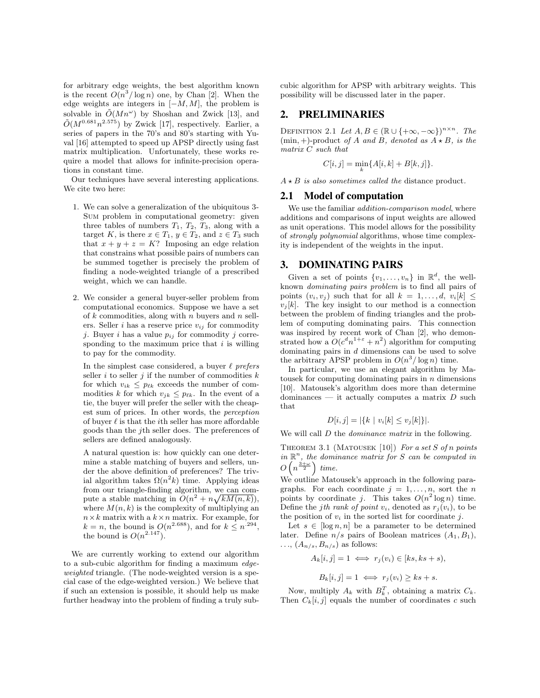for arbitrary edge weights, the best algorithm known is the recent  $O(n^3/\log n)$  one, by Chan [2]. When the edge weights are integers in  $[-M, M]$ , the problem is solvable in  $\tilde{O}(Mn^{\omega})$  by Shoshan and Zwick [13], and  $\tilde{O}(M^{0.681}n^{2.575})$  by Zwick [17], respectively. Earlier, a series of papers in the 70's and 80's starting with Yuval [16] attempted to speed up APSP directly using fast matrix multiplication. Unfortunately, these works require a model that allows for infinite-precision operations in constant time.

Our techniques have several interesting applications. We cite two here:

- 1. We can solve a generalization of the ubiquitous 3- Sum problem in computational geometry: given three tables of numbers  $T_1$ ,  $T_2$ ,  $T_3$ , along with a target K, is there  $x \in T_1$ ,  $y \in T_2$ , and  $z \in T_3$  such that  $x + y + z = K$ ? Imposing an edge relation that constrains what possible pairs of numbers can be summed together is precisely the problem of finding a node-weighted triangle of a prescribed weight, which we can handle.
- 2. We consider a general buyer-seller problem from computational economics. Suppose we have a set of  $k$  commodities, along with  $n$  buyers and  $n$  sellers. Seller *i* has a reserve price  $v_{ij}$  for commodity j. Buyer i has a value  $p_{ij}$  for commodity j corresponding to the maximum price that  $i$  is willing to pay for the commodity.

In the simplest case considered, a buyer  $\ell$  prefers seller i to seller j if the number of commodities  $k$ for which  $v_{ik} \leq p_{\ell k}$  exceeds the number of commodities k for which  $v_{jk} \leq p_{\ell k}$ . In the event of a tie, the buyer will prefer the seller with the cheapest sum of prices. In other words, the perception of buyer  $\ell$  is that the *i*th seller has more affordable goods than the jth seller does. The preferences of sellers are defined analogously.

A natural question is: how quickly can one determine a stable matching of buyers and sellers, under the above definition of preferences? The trivial algorithm takes  $\Omega(n^2k)$  time. Applying ideas from our triangle-finding algorithm, we can compute a stable matching in  $O(n^2 + n\sqrt{kM(n,k)})$ , where  $M(n, k)$  is the complexity of multiplying an  $n \times k$  matrix with a  $k \times n$  matrix. For example, for  $k = n$ , the bound is  $O(n^{2.688})$ , and for  $k \leq n^{294}$ , the bound is  $O(n^{2.147})$ .

We are currently working to extend our algorithm to a sub-cubic algorithm for finding a maximum edgeweighted triangle. (The node-weighted version is a special case of the edge-weighted version.) We believe that if such an extension is possible, it should help us make further headway into the problem of finding a truly subcubic algorithm for APSP with arbitrary weights. This possibility will be discussed later in the paper.

## **2. PRELIMINARIES**

DEFINITION 2.1 Let  $A, B \in (\mathbb{R} \cup \{+\infty, -\infty\})^{n \times n}$ . The  $(\min, +)$ -product of A and B, denoted as  $A \star B$ , is the matrix C such that

$$
C[i, j] = \min_{k} \{A[i, k] + B[k, j]\}.
$$

 $A \star B$  is also sometimes called the distance product.

#### **2.1 Model of computation**

We use the familiar *addition-comparison model*, where additions and comparisons of input weights are allowed as unit operations. This model allows for the possibility of strongly polynomial algorithms, whose time complexity is independent of the weights in the input.

#### **3. DOMINATING PAIRS**

Given a set of points  $\{v_1, \ldots, v_n\}$  in  $\mathbb{R}^d$ , the wellknown dominating pairs problem is to find all pairs of points  $(v_i, v_j)$  such that for all  $k = 1, \ldots, d, v_i[k] \leq$  $v_i[k]$ . The key insight to our method is a connection between the problem of finding triangles and the problem of computing dominating pairs. This connection was inspired by recent work of Chan [2], who demonstrated how a  $O(c^dn^{1+\epsilon}+n^2)$  algorithm for computing dominating pairs in  $d$  dimensions can be used to solve the arbitrary APSP problem in  $O(n^3/\log n)$  time.

In particular, we use an elegant algorithm by Matousek for computing dominating pairs in  $n$  dimensions [10]. Matousek's algorithm does more than determine dominances — it actually computes a matrix  $D$  such that

$$
D[i, j] = |\{k \mid v_i[k] \le v_j[k]\}|.
$$

We will call D the *dominance matrix* in the following.

THEOREM 3.1 (MATOUSEK [10]) For a set S of n points in  $\mathbb{R}^n$ , the dominance matrix for S can be computed in  $O\left(n^{\frac{3+\omega}{2}}\right)$  time.

We outline Matousek's approach in the following paragraphs. For each coordinate  $j = 1, \ldots, n$ , sort the n points by coordinate j. This takes  $O(n^2 \log n)$  time. Define the jth rank of point  $v_i$ , denoted as  $r_j(v_i)$ , to be the position of  $v_i$  in the sorted list for coordinate j.

Let  $s \in [\log n, n]$  be a parameter to be determined later. Define  $n/s$  pairs of Boolean matrices  $(A_1, B_1)$ ,  $\ldots$ ,  $(A_{n/s}, B_{n/s})$  as follows:

$$
A_k[i,j] = 1 \iff r_j(v_i) \in [ks, ks + s),
$$

$$
B_k[i,j] = 1 \iff r_j(v_i) \ge ks + s.
$$

Now, multiply  $A_k$  with  $B_k^T$ , obtaining a matrix  $C_k$ . Then  $C_k[i, j]$  equals the number of coordinates c such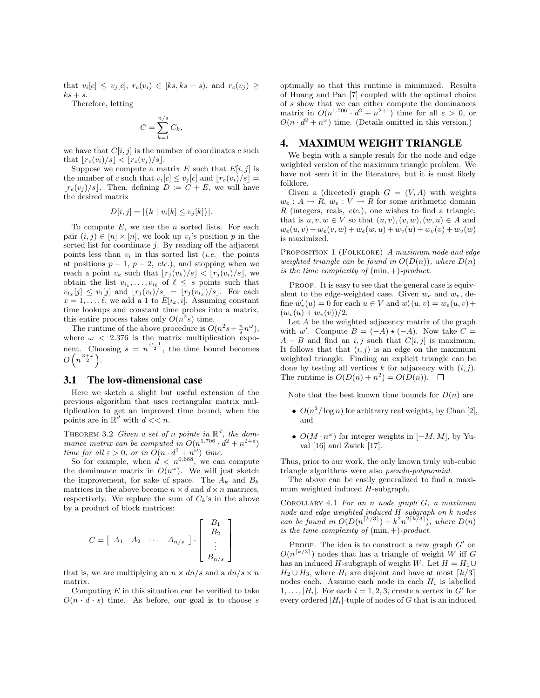that  $v_i[c] \leq v_i[c]$ ,  $r_c(v_i) \in [ks, ks + s)$ , and  $r_c(v_i) \geq$  $ks + s$ .

Therefore, letting

$$
C = \sum_{k=1}^{n/s} C_k,
$$

we have that  $C[i, j]$  is the number of coordinates c such that  $|r_c(v_i)/s| < |r_c(v_j)/s|$ .

Suppose we compute a matrix E such that  $E[i, j]$  is the number of c such that  $v_i[c] \leq v_j[c]$  and  $|r_c(v_i)/s|$  =  $|r_c(v_i)/s|$ . Then, defining  $D := C + E$ , we will have the desired matrix

$$
D[i, j] = |\{k \mid v_i[k] \le v_j[k]\}|.
$$

To compute  $E$ , we use the  $n$  sorted lists. For each pair  $(i, j) \in [n] \times [n]$ , we look up  $v_i$ 's position p in the sorted list for coordinate  $j$ . By reading off the adjacent points less than  $v_i$  in this sorted list *(i.e.* the points at positions  $p-1$ ,  $p-2$ , etc.), and stopping when we reach a point  $v_k$  such that  $|r_i(v_k)/s| < |r_i(v_i)/s|$ , we obtain the list  $v_{i_1}, \ldots, v_{i_\ell}$  of  $\ell \leq s$  points such that  $v_{i_x}[j] \leq v_i[j]$  and  $[r_j(v_i)/s] = [r_j(v_{i_x})/s]$ . For each  $x = 1, \ldots, \ell$ , we add a 1 to  $E[i_x, i]$ . Assuming constant time lookups and constant time probes into a matrix, this entire process takes only  $O(n^2s)$  time.

The runtime of the above procedure is  $O(n^2s + \frac{n}{s}n^{\omega})$ , where  $\omega$  < 2.376 is the matrix multiplication exponent. Choosing  $s = n^{\frac{\omega-1}{2}}$ , the time bound becomes  $O\left(n^{\frac{3+\omega}{2}}\right)$ .

#### **3.1 The low-dimensional case**

Here we sketch a slight but useful extension of the previous algorithm that uses rectangular matrix multiplication to get an improved time bound, when the points are in  $\mathbb{R}^d$  with  $d \lt \lt n$ .

THEOREM 3.2 Given a set of n points in  $\mathbb{R}^d$ , the dominance matrix can be computed in  $O(n^{1.706} \cdot d^2 + n^{2+\epsilon})$ time for all  $\varepsilon > 0$ , or in  $O(n \cdot d^2 + n^{\omega})$  time.

So for example, when  $d \, < n^{0.688}$ , we can compute the dominance matrix in  $O(n^{\omega})$ . We will just sketch the improvement, for sake of space. The  $A_k$  and  $B_k$ matrices in the above become  $n \times d$  and  $d \times n$  matrices, respectively. We replace the sum of  $C_k$ 's in the above by a product of block matrices:

$$
C = \begin{bmatrix} A_1 & A_2 & \cdots & A_{n/s} \end{bmatrix} \cdot \begin{bmatrix} B_1 \\ B_2 \\ \vdots \\ B_{n/s} \end{bmatrix}
$$

that is, we are multiplying an  $n \times dn/s$  and a  $dn/s \times n$ matrix.

Computing  $E$  in this situation can be verified to take  $O(n \cdot d \cdot s)$  time. As before, our goal is to choose s

optimally so that this runtime is minimized. Results of Huang and Pan [7] coupled with the optimal choice of s show that we can either compute the dominances matrix in  $O(n^{1.706} \cdot d^2 + n^{2+\epsilon})$  time for all  $\varepsilon > 0$ , or  $O(n \cdot d^2 + n^{\omega})$  time. (Details omitted in this version.)

## **4. MAXIMUM WEIGHT TRIANGLE**

We begin with a simple result for the node and edge weighted version of the maximum triangle problem. We have not seen it in the literature, but it is most likely folklore.

Given a (directed) graph  $G = (V, A)$  with weights  $w_e: A \to R$ ,  $w_v: V \to R$  for some arithmetic domain R (integers, reals,  $etc.$ ), one wishes to find a triangle, that is  $u, v, w \in V$  so that  $(u, v), (v, w), (w, u) \in A$  and  $w_e(u, v) + w_e(v, w) + w_e(w, u) + w_v(u) + w_v(v) + w_v(w)$ is maximized.

PROPOSITION 1 (FOLKLORE) A maximum node and edge weighted triangle can be found in  $O(D(n))$ , where  $D(n)$ is the time complexity of  $(\min, +)$ -product.

PROOF. It is easy to see that the general case is equivalent to the edge-weighted case. Given  $w_e$  and  $w_v$ , define  $w'_v(u) = 0$  for each  $u \in V$  and  $w'_e(u, v) = w_e(u, v) +$  $(w_v(u) + w_v(v))/2.$ 

Let A be the weighted adjacency matrix of the graph with w'. Compute  $B = (-A) \star (-A)$ . Now take  $C =$  $A - B$  and find an i, j such that  $C[i, j]$  is maximum. It follows that that  $(i, j)$  is an edge on the maximum weighted triangle. Finding an explicit triangle can be done by testing all vertices  $k$  for adjacency with  $(i, j)$ . The runtime is  $O(D(n) + n^2) = O(D(n)).$ 

Note that the best known time bounds for  $D(n)$  are

- $O(n^3/\log n)$  for arbitrary real weights, by Chan [2], and
- $O(M \cdot n^{\omega})$  for integer weights in  $[-M, M]$ , by Yuval [16] and Zwick [17].

Thus, prior to our work, the only known truly sub-cubic triangle algorithms were also pseudo-polynomial.

The above can be easily generalized to find a maximum weighted induced H-subgraph.

COROLLARY 4.1 For an n node graph  $G$ , a maximum node and edge weighted induced H-subgraph on k nodes can be found in  $O(D(n^{\lceil k/3 \rceil}) + k^2 n^{2\lceil k/3 \rceil})$ , where  $D(n)$ is the time complexity of  $(min,+)$ -product.

PROOF. The idea is to construct a new graph  $G'$  on  $O(n^{\lceil k/3 \rceil})$  nodes that has a triangle of weight W iff G has an induced H-subgraph of weight W. Let  $H = H_1 \cup$  $H_2 \cup H_3$ , where  $H_i$  are disjoint and have at most  $\lceil k/3 \rceil$ nodes each. Assume each node in each  $H_i$  is labelled  $1, \ldots, |H_i|$ . For each  $i = 1, 2, 3$ , create a vertex in G' for every ordered  $|H_i|$ -tuple of nodes of G that is an induced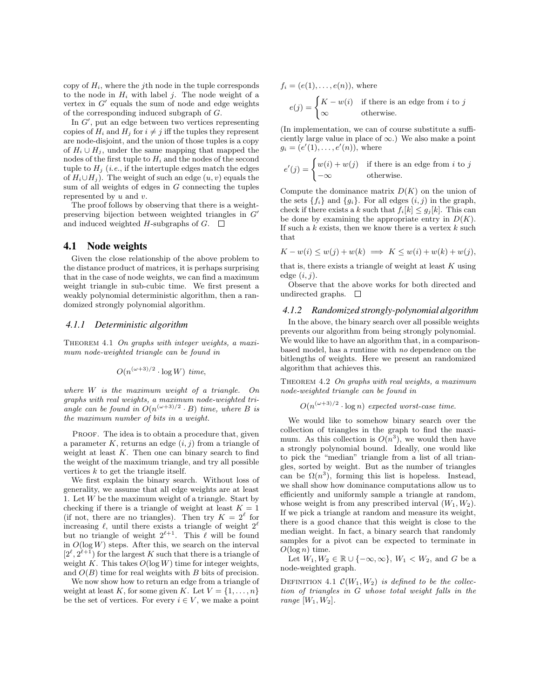copy of  $H_i$ , where the *j*th node in the tuple corresponds to the node in  $H_i$  with label *j*. The node weight of a vertex in  $G'$  equals the sum of node and edge weights of the corresponding induced subgraph of G.

In  $G'$ , put an edge between two vertices representing copies of  $H_i$  and  $H_j$  for  $i \neq j$  iff the tuples they represent are node-disjoint, and the union of those tuples is a copy of  $H_i \cup H_j$ , under the same mapping that mapped the nodes of the first tuple to  $H_i$  and the nodes of the second tuple to  $H_j$  (*i.e.*, if the intertuple edges match the edges of  $H_i \cup H_j$ ). The weight of such an edge  $(u, v)$  equals the sum of all weights of edges in  $G$  connecting the tuples represented by  $u$  and  $v$ .

The proof follows by observing that there is a weightpreserving bijection between weighted triangles in  $G'$ and induced weighted H-subgraphs of  $G$ .  $\Box$ 

## **4.1 Node weights**

Given the close relationship of the above problem to the distance product of matrices, it is perhaps surprising that in the case of node weights, we can find a maximum weight triangle in sub-cubic time. We first present a weakly polynomial deterministic algorithm, then a randomized strongly polynomial algorithm.

#### *4.1.1 Deterministic algorithm*

THEOREM 4.1 On graphs with integer weights, a maximum node-weighted triangle can be found in

$$
O(n^{(\omega+3)/2} \cdot \log W) \, \, time,
$$

where  $W$  is the maximum weight of a triangle. On graphs with real weights, a maximum node-weighted triangle can be found in  $O(n^{(\omega+3)/2} \cdot B)$  time, where B is the maximum number of bits in a weight.

PROOF. The idea is to obtain a procedure that, given a parameter K, returns an edge  $(i, j)$  from a triangle of weight at least  $K$ . Then one can binary search to find the weight of the maximum triangle, and try all possible vertices k to get the triangle itself.

We first explain the binary search. Without loss of generality, we assume that all edge weights are at least 1. Let  $W$  be the maximum weight of a triangle. Start by checking if there is a triangle of weight at least  $K = 1$ (if not, there are no triangles). Then try  $K = 2^{\ell}$  for increasing  $\ell$ , until there exists a triangle of weight  $2^{\ell}$ but no triangle of weight  $2^{\ell+1}$ . This  $\ell$  will be found in  $O(\log W)$  steps. After this, we search on the interval  $[2^{\ell}, 2^{\ell+1})$  for the largest K such that there is a triangle of weight K. This takes  $O(\log W)$  time for integer weights, and  $O(B)$  time for real weights with B bits of precision.

We now show how to return an edge from a triangle of weight at least K, for some given K. Let  $V = \{1, \ldots, n\}$ be the set of vertices. For every  $i \in V$ , we make a point

$$
f_i = (e(1), \dots, e(n)),
$$
 where  

$$
e(j) = \begin{cases} K - w(i) & \text{if there is an edge from } i \text{ to } j \\ \infty & \text{otherwise.} \end{cases}
$$

(In implementation, we can of course substitute a sufficiently large value in place of  $\infty$ .) We also make a point  $g_i = (e'(1), \ldots, e'(n)),$  where

$$
e'(j) = \begin{cases} w(i) + w(j) & \text{if there is an edge from } i \text{ to } j \\ -\infty & \text{otherwise.} \end{cases}
$$

Compute the dominance matrix  $D(K)$  on the union of the sets  $\{f_i\}$  and  $\{g_i\}$ . For all edges  $(i, j)$  in the graph, check if there exists a k such that  $f_i[k] \leq g_i[k]$ . This can be done by examining the appropriate entry in  $D(K)$ . If such a  $k$  exists, then we know there is a vertex  $k$  such that

$$
K - w(i) \le w(j) + w(k) \implies K \le w(i) + w(k) + w(j),
$$

that is, there exists a triangle of weight at least  $K$  using edge  $(i, j)$ .

Observe that the above works for both directed and undirected graphs.  $\square$ 

#### *4.1.2 Randomized strongly-polynomial algorithm*

In the above, the binary search over all possible weights prevents our algorithm from being strongly polynomial. We would like to have an algorithm that, in a comparisonbased model, has a runtime with no dependence on the bitlengths of weights. Here we present an randomized algorithm that achieves this.

THEOREM 4.2 On graphs with real weights, a maximum node-weighted triangle can be found in

 $O(n^{(\omega+3)/2} \cdot \log n)$  expected worst-case time.

We would like to somehow binary search over the collection of triangles in the graph to find the maximum. As this collection is  $O(n^3)$ , we would then have a strongly polynomial bound. Ideally, one would like to pick the "median" triangle from a list of all triangles, sorted by weight. But as the number of triangles can be  $\Omega(n^3)$ , forming this list is hopeless. Instead, we shall show how dominance computations allow us to efficiently and uniformly sample a triangle at random, whose weight is from any prescribed interval  $(W_1, W_2)$ . If we pick a triangle at random and measure its weight, there is a good chance that this weight is close to the median weight. In fact, a binary search that randomly samples for a pivot can be expected to terminate in  $O(\log n)$  time.

Let  $W_1, W_2 \in \mathbb{R} \cup \{-\infty, \infty\}, W_1 < W_2$ , and G be a node-weighted graph.

DEFINITION 4.1  $\mathcal{C}(W_1, W_2)$  is defined to be the collection of triangles in G whose total weight falls in the range  $[W_1, W_2]$ .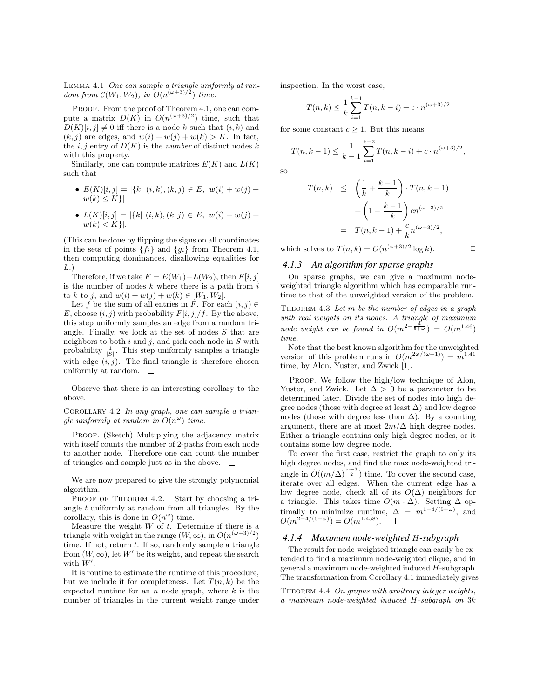Lemma 4.1 One can sample a triangle uniformly at random from  $\mathcal{C}(W_1, W_2)$ , in  $O(n^{(\omega+3)/2})$  time.

PROOF. From the proof of Theorem 4.1, one can compute a matrix  $D(K)$  in  $O(n^{(\omega+3)/2})$  time, such that  $D(K)[i, j] \neq 0$  iff there is a node k such that  $(i, k)$  and  $(k, j)$  are edges, and  $w(i) + w(j) + w(k) > K$ . In fact, the i, j entry of  $D(K)$  is the number of distinct nodes k with this property.

Similarly, one can compute matrices  $E(K)$  and  $L(K)$ such that

- $E(K)[i, j] = |\{k | (i, k), (k, j) \in E, w(i) + w(j) + \}$  $w(k) \leq K$ }
- $L(K)[i, j] = |\{k | (i, k), (k, j) \in E, w(i) + w(j) + \}$  $w(k) < K$ .

(This can be done by flipping the signs on all coordinates in the sets of points  $\{f_i\}$  and  $\{g_i\}$  from Theorem 4.1, then computing dominances, disallowing equalities for  $L.$ )

Therefore, if we take  $F = E(W_1) - L(W_2)$ , then  $F[i, j]$ is the number of nodes  $k$  where there is a path from  $i$ to k to j, and  $w(i) + w(j) + w(k) \in [W_1, W_2]$ .

Let f be the sum of all entries in F. For each  $(i, j) \in$ E, choose  $(i, j)$  with probability  $F[i, j]/f$ . By the above, this step uniformly samples an edge from a random triangle. Finally, we look at the set of nodes S that are neighbors to both  $i$  and  $j$ , and pick each node in  $S$  with probability  $\frac{1}{|S|}$ . This step uniformly samples a triangle with edge  $(i, j)$ . The final triangle is therefore chosen uniformly at random.  $\square$ 

Observe that there is an interesting corollary to the above.

COROLLARY  $4.2$  In any graph, one can sample a triangle uniformly at random in  $O(n^{\omega})$  time.

PROOF. (Sketch) Multiplying the adjacency matrix with itself counts the number of 2-paths from each node to another node. Therefore one can count the number of triangles and sample just as in the above.  $\Box$ 

We are now prepared to give the strongly polynomial algorithm.

PROOF OF THEOREM 4.2. Start by choosing a triangle  $t$  uniformly at random from all triangles. By the corollary, this is done in  $O(n^{\omega})$  time.

Measure the weight  $W$  of  $t$ . Determine if there is a triangle with weight in the range  $(W, \infty)$ , in  $O(n^{(\omega+3)/2})$ time. If not, return  $t$ . If so, randomly sample a triangle from  $(W, \infty)$ , let W' be its weight, and repeat the search with  $W'$ .

It is routine to estimate the runtime of this procedure, but we include it for completeness. Let  $T(n, k)$  be the expected runtime for an  $n$  node graph, where  $k$  is the number of triangles in the current weight range under inspection. In the worst case,

$$
T(n,k) \leq \frac{1}{k} \sum_{i=1}^{k-1} T(n,k-i) + c \cdot n^{(\omega+3)/2}
$$

for some constant  $c \geq 1$ . But this means

$$
T(n,k-1) \le \frac{1}{k-1} \sum_{i=1}^{k-2} T(n,k-i) + c \cdot n^{(\omega+3)/2},
$$

so

$$
T(n,k) \leq \left(\frac{1}{k} + \frac{k-1}{k}\right) \cdot T(n,k-1) + \left(1 - \frac{k-1}{k}\right) cn^{(\omega+3)/2} = T(n,k-1) + \frac{c}{k}n^{(\omega+3)/2},
$$

which solves to  $T(n,k) = O(n^{(\omega+3)/2} \log k)$ .

#### *4.1.3 An algorithm for sparse graphs*

On sparse graphs, we can give a maximum nodeweighted triangle algorithm which has comparable runtime to that of the unweighted version of the problem.

THEOREM  $4.3$  Let  $m$  be the number of edges in a graph with real weights on its nodes. A triangle of maximum node weight can be found in  $O(m^{2-\frac{4}{5+\omega}}) = O(m^{1.46})$ time.

Note that the best known algorithm for the unweighted version of this problem runs in  $O(m^{2\omega/(\omega+1)}) = m^{1.41}$ time, by Alon, Yuster, and Zwick [1].

PROOF. We follow the high/low technique of Alon, Yuster, and Zwick. Let  $\Delta > 0$  be a parameter to be determined later. Divide the set of nodes into high degree nodes (those with degree at least  $\Delta$ ) and low degree nodes (those with degree less than  $\Delta$ ). By a counting argument, there are at most  $2m/\Delta$  high degree nodes. Either a triangle contains only high degree nodes, or it contains some low degree node.

To cover the first case, restrict the graph to only its high degree nodes, and find the max node-weighted triangle in  $\tilde{O}((m/\Delta)^{\frac{\omega+3}{2}})$  time. To cover the second case, iterate over all edges. When the current edge has a low degree node, check all of its  $O(\Delta)$  neighbors for a triangle. This takes time  $O(m \cdot \Delta)$ . Setting  $\Delta$  optimally to minimize runtime,  $\Delta = m^{1-4/(5+\omega)}$ , and  $O(m^{2-4/(5+\omega)}) = O(m^{1.458}).$ 

#### *4.1.4 Maximum node-weighted* H*-subgraph*

The result for node-weighted triangle can easily be extended to find a maximum node-weighted clique, and in general a maximum node-weighted induced H-subgraph. The transformation from Corollary 4.1 immediately gives

THEOREM 4.4 On graphs with arbitrary integer weights, a maximum node-weighted induced H-subgraph on 3k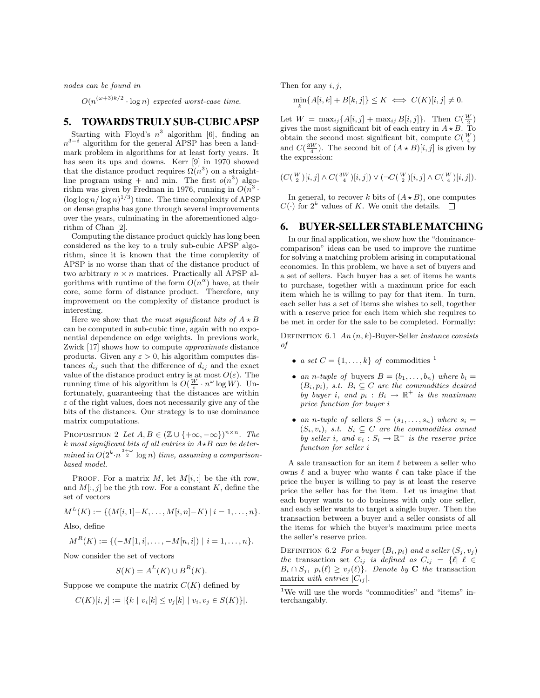nodes can be found in

 $O(n^{(\omega+3)k/2} \cdot \log n)$  expected worst-case time.

## **5. TOWARDSTRULY SUB-CUBIC APSP**

Starting with Floyd's  $n^3$  algorithm [6], finding an  $n^{3-\delta}$  algorithm for the general APSP has been a landmark problem in algorithms for at least forty years. It has seen its ups and downs. Kerr [9] in 1970 showed that the distance product requires  $\Omega(n^3)$  on a straightline program using  $+$  and min. The first  $o(n^3)$  algorithm was given by Fredman in 1976, running in  $O(n^3 \cdot$  $(\log \log n / \log n)^{1/3})$  time. The time complexity of APSP on dense graphs has gone through several improvements over the years, culminating in the aforementioned algorithm of Chan [2].

Computing the distance product quickly has long been considered as the key to a truly sub-cubic APSP algorithm, since it is known that the time complexity of APSP is no worse than that of the distance product of two arbitrary  $n \times n$  matrices. Practically all APSP algorithms with runtime of the form  $O(n^{\alpha})$  have, at their core, some form of distance product. Therefore, any improvement on the complexity of distance product is interesting.

Here we show that the most significant bits of  $A \star B$ can be computed in sub-cubic time, again with no exponential dependence on edge weights. In previous work, Zwick [17] shows how to compute approximate distance products. Given any  $\varepsilon > 0$ , his algorithm computes distances  $d_{ij}$  such that the difference of  $d_{ij}$  and the exact value of the distance product entry is at most  $O(\varepsilon)$ . The running time of his algorithm is  $O(\frac{W}{\varepsilon} \cdot n^{\omega} \log W)$ . Unfortunately, guaranteeing that the distances are within  $\varepsilon$  of the right values, does not necessarily give any of the bits of the distances. Our strategy is to use dominance matrix computations.

PROPOSITION 2 Let  $A, B \in (\mathbb{Z} \cup \{+\infty, -\infty\})^{n \times n}$ . The k most significant bits of all entries in  $A\star B$  can be deter- $\emph{mined in } O(2^k \cdot n^{\frac{3+\omega}{2}} \log n) \emph{ time, assuming a comparison-}$ based model.

PROOF. For a matrix  $M$ , let  $M[i, :]$  be the *i*th row, and  $M[:, j]$  be the j<sup>th</sup> row. For a constant K, define the set of vectors

$$
M^{L}(K) := \{ (M[i, 1] - K, \ldots, M[i, n] - K) | i = 1, \ldots, n \}.
$$

Also, define

 $M^R(K) := \{(-M[1, i], \ldots, -M[n, i]) \mid i = 1, \ldots, n\}.$ 

Now consider the set of vectors

$$
S(K) = A^L(K) \cup B^R(K).
$$

Suppose we compute the matrix  $C(K)$  defined by

$$
C(K)[i,j] := |\{k \mid v_i[k] \le v_j[k] \mid v_i, v_j \in S(K)\}|.
$$

Then for any  $i, j$ ,

$$
\min_{k} \{A[i,k] + B[k,j]\} \le K \iff C(K)[i,j] \ne 0.
$$

Let  $W = \max_{ij} \{A[i, j] + \max_{ij} B[i, j]\}.$  Then  $C(\frac{W}{2})$ gives the most significant bit of each entry in  $A \star B$ . To obtain the second most significant bit, compute  $C(\frac{W}{4})$ and  $C(\frac{3W}{4})$ . The second bit of  $(A \star B)[i, j]$  is given by the expression:

$$
(C(\tfrac{W}{2})[i,j] \wedge C(\tfrac{3W}{4})[i,j]) \vee (\neg C(\tfrac{W}{2})[i,j] \wedge C(\tfrac{W}{4})[i,j]).
$$

In general, to recover k bits of  $(A \star B)$ , one computes  $C(\cdot)$  for  $2^k$  values of K. We omit the details.

## **6. BUYER-SELLER STABLEMATCHING**

In our final application, we show how the "dominancecomparison" ideas can be used to improve the runtime for solving a matching problem arising in computational economics. In this problem, we have a set of buyers and a set of sellers. Each buyer has a set of items he wants to purchase, together with a maximum price for each item which he is willing to pay for that item. In turn, each seller has a set of items she wishes to sell, together with a reserve price for each item which she requires to be met in order for the sale to be completed. Formally:

DEFINITION 6.1 An  $(n, k)$ -Buyer-Seller *instance consists* of

- a set  $C = \{1, \ldots, k\}$  of commodities  $1$
- an n-tuple of buyers  $B = (b_1, \ldots, b_n)$  where  $b_i =$  $(B_i, p_i)$ , s.t.  $B_i \subseteq C$  are the commodities desired by buyer i, and  $p_i : B_i \to \mathbb{R}^+$  is the maximum price function for buyer i
- an n-tuple of sellers  $S = (s_1, \ldots, s_n)$  where  $s_i =$  $(S_i, v_i)$ , s.t.  $S_i \subseteq C$  are the commodities owned by seller i, and  $v_i : S_i \to \mathbb{R}^+$  is the reserve price function for seller i

A sale transaction for an item  $\ell$  between a seller who owns  $\ell$  and a buyer who wants  $\ell$  can take place if the price the buyer is willing to pay is at least the reserve price the seller has for the item. Let us imagine that each buyer wants to do business with only one seller, and each seller wants to target a single buyer. Then the transaction between a buyer and a seller consists of all the items for which the buyer's maximum price meets the seller's reserve price.

DEFINITION 6.2 For a buyer  $(B_i, p_i)$  and a seller  $(S_j, v_j)$ the transaction set  $C_{ij}$  is defined as  $C_{ij} = \{ \ell | \ell \in$  $B_i \cap S_j$ ,  $p_i(\ell) \ge v_j(\ell)$ . Denote by **C** the transaction matrix with entries  $|C_{ij}|$ .

 $^{1}\mathrm{We}$  will use the words "commodities" and "items" interchangably.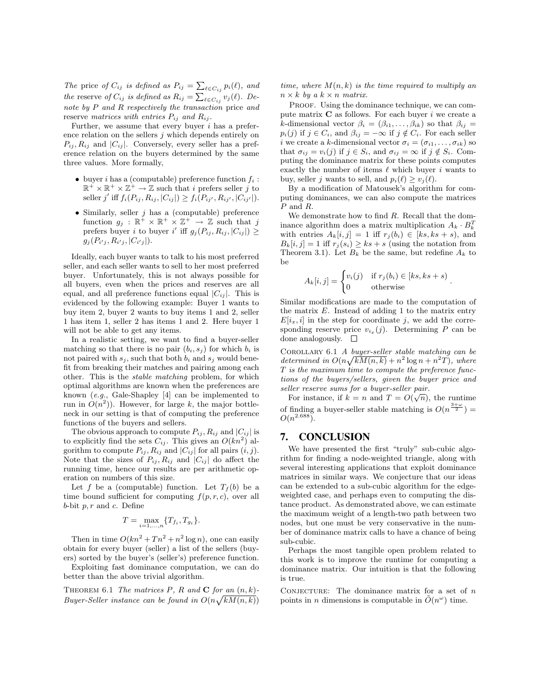The price of  $C_{ij}$  is defined as  $P_{ij} = \sum_{\ell \in C_{ij}} p_i(\ell)$ , and the reserve of  $C_{ij}$  is defined as  $R_{ij} = \sum_{\ell \in C_{ij}} v_j(\ell)$ . Denote by P and R respectively the transaction price and reserve matrices with entries  $P_{ij}$  and  $R_{ij}$ .

Further, we assume that every buyer  $i$  has a preference relation on the sellers  $j$  which depends entirely on  $P_{ij}, R_{ij}$  and  $|C_{ij}|$ . Conversely, every seller has a preference relation on the buyers determined by the same three values. More formally,

- buyer *i* has a (computable) preference function  $f_i$ :  $\mathbb{R}^+ \times \mathbb{R}^+ \times \mathbb{Z}^+ \to \mathbb{Z}$  such that *i* prefers seller *j* to seller j' iff  $f_i(P_{ij}, R_{ij}, |C_{ij}|) \ge f_i(P_{ij'}, R_{ij'}, |C_{ij'}|)$ .
- $\bullet$  Similarly, seller *j* has a (computable) preference function  $g_j : \mathbb{R}^+ \times \mathbb{R}^+ \times \mathbb{Z}^+ \to \mathbb{Z}$  such that j prefers buyer i to buyer i' iff  $g_j(P_{ij}, R_{ij}, |C_{ij}|) \ge$  $g_j(P_{i'j}, R_{i'j}, |C_{i'j}|).$

Ideally, each buyer wants to talk to his most preferred seller, and each seller wants to sell to her most preferred buyer. Unfortunately, this is not always possible for all buyers, even when the prices and reserves are all equal, and all preference functions equal  $|C_{ii}|$ . This is evidenced by the following example: Buyer 1 wants to buy item 2, buyer 2 wants to buy items 1 and 2, seller 1 has item 1, seller 2 has items 1 and 2. Here buyer 1 will not be able to get any items.

In a realistic setting, we want to find a buyer-seller matching so that there is no pair  $(b_i, s_j)$  for which  $b_i$  is not paired with  $s_j$ , such that both  $b_i$  and  $s_j$  would benefit from breaking their matches and pairing among each other. This is the stable matching problem, for which optimal algorithms are known when the preferences are known (e.g., Gale-Shapley [4] can be implemented to run in  $O(n^2)$ ). However, for large k, the major bottleneck in our setting is that of computing the preference functions of the buyers and sellers.

The obvious approach to compute  $P_{ij}$ ,  $R_{ij}$  and  $|C_{ij}|$  is to explicitly find the sets  $C_{ij}$ . This gives an  $O(kn^2)$  algorithm to compute  $P_{ij}$ ,  $R_{ij}$  and  $|C_{ij}|$  for all pairs  $(i, j)$ . Note that the sizes of  $P_{ij}$ ,  $R_{ij}$  and  $|C_{ij}|$  do affect the running time, hence our results are per arithmetic operation on numbers of this size.

Let f be a (computable) function. Let  $T_f(b)$  be a time bound sufficient for computing  $f(p, r, c)$ , over all  $b$ -bit  $p, r$  and  $c$ . Define

$$
T = \max_{i=1,...,n} \{T_{f_i}, T_{g_i}\}.
$$

Then in time  $O(kn^2 + Tn^2 + n^2 \log n)$ , one can easily obtain for every buyer (seller) a list of the sellers (buyers) sorted by the buyer's (seller's) preference function.

Exploiting fast dominance computation, we can do better than the above trivial algorithm.

THEOREM 6.1 The matrices P, R and C for an  $(n, k)$ -Buyer-Seller instance can be found in  $O(n\sqrt{kM(n,k)})$ 

time, where  $M(n, k)$  is the time required to multiply an  $n \times k$  by a  $k \times n$  matrix.

PROOF. Using the dominance technique, we can compute matrix  $C$  as follows. For each buyer i we create a k-dimensional vector  $\beta_i = (\beta_{i1}, \ldots, \beta_{ik})$  so that  $\beta_{ij} =$  $p_i(j)$  if  $j \in C_i$ , and  $\beta_{ij} = -\infty$  if  $j \notin C_i$ . For each seller i we create a k-dimensional vector  $\sigma_i = (\sigma_{i1}, \ldots, \sigma_{ik})$  so that  $\sigma_{ij} = v_i(j)$  if  $j \in S_i$ , and  $\sigma_{ij} = \infty$  if  $j \notin S_i$ . Computing the dominance matrix for these points computes exactly the number of items  $\ell$  which buyer i wants to buy, seller *j* wants to sell, and  $p_i(\ell) > v_i(\ell)$ .

By a modification of Matousek's algorithm for computing dominances, we can also compute the matrices P and R.

We demonstrate how to find R. Recall that the dominance algorithm does a matrix multiplication  $A_k \cdot B_k^T$ with entries  $A_k[i, j] = 1$  iff  $r_j(b_i) \in [ks, ks + s)$ , and  $B_k[i, j] = 1$  iff  $r_i(s_i) \geq ks + s$  (using the notation from Theorem 3.1). Let  $B_k$  be the same, but redefine  $A_k$  to be

$$
A_k[i,j] = \begin{cases} v_i(j) & \text{if } r_j(b_i) \in [ks, ks+s) \\ 0 & \text{otherwise} \end{cases}.
$$

Similar modifications are made to the computation of the matrix  $E$ . Instead of adding 1 to the matrix entry  $E[i_x, i]$  in the step for coordinate j, we add the corresponding reserve price  $v_{i_x}(j)$ . Determining P can be done analogously.  $\square$ 

Corollary 6.1 A buyer-seller stable matching can be determined in  $O(n\sqrt{kM(n,k)} + n^2 \log n + n^2T)$ , where T is the maximum time to compute the preference functions of the buyers/sellers, given the buyer price and seller reserve sums for a buyer-seller pair.

For instance, if  $k = n$  and  $T = O(\sqrt{n})$ , the runtime of finding a buyer-seller stable matching is  $O(n^{\frac{3+\omega}{2}})$  =  $O(n^{2.688})$ .

# **7. CONCLUSION**

We have presented the first "truly" sub-cubic algorithm for finding a node-weighted triangle, along with several interesting applications that exploit dominance matrices in similar ways. We conjecture that our ideas can be extended to a sub-cubic algorithm for the edgeweighted case, and perhaps even to computing the distance product. As demonstrated above, we can estimate the maximum weight of a length-two path between two nodes, but one must be very conservative in the number of dominance matrix calls to have a chance of being sub-cubic.

Perhaps the most tangible open problem related to this work is to improve the runtime for computing a dominance matrix. Our intuition is that the following is true.

CONJECTURE: The dominance matrix for a set of  $n$ points in *n* dimensions is computable in  $\tilde{O}(n^{\omega})$  time.